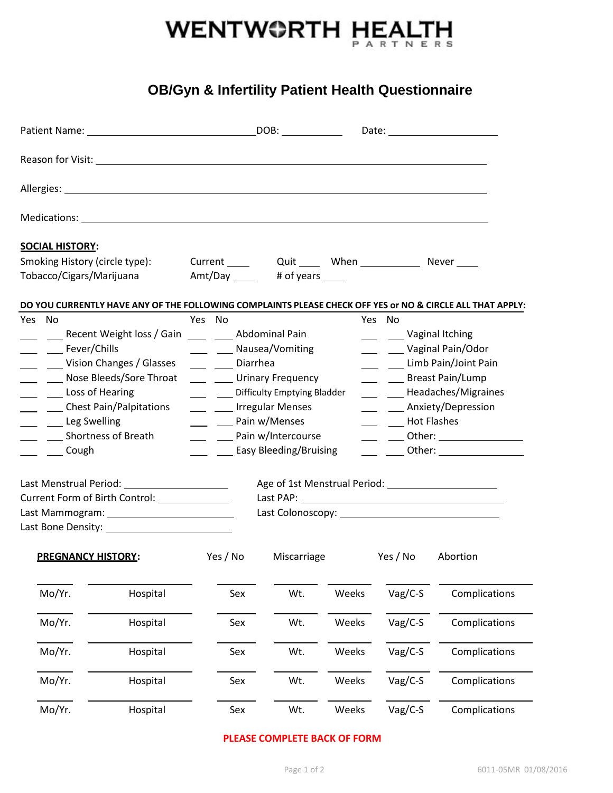

# **OB/Gyn & Infertility Patient Health Questionnaire**

| <b>SOCIAL HISTORY:</b>                                                                                                                                                                                                                                                                                                                                                                                                                                                                                                                                           |                                                                                                                                                                                                        |                                                                                                                                                                                                                                                                |             |       |                                                                            |                                                                                                                                                                                                               |  |
|------------------------------------------------------------------------------------------------------------------------------------------------------------------------------------------------------------------------------------------------------------------------------------------------------------------------------------------------------------------------------------------------------------------------------------------------------------------------------------------------------------------------------------------------------------------|--------------------------------------------------------------------------------------------------------------------------------------------------------------------------------------------------------|----------------------------------------------------------------------------------------------------------------------------------------------------------------------------------------------------------------------------------------------------------------|-------------|-------|----------------------------------------------------------------------------|---------------------------------------------------------------------------------------------------------------------------------------------------------------------------------------------------------------|--|
| Smoking History (circle type):<br>Tobacco/Cigars/Marijuana                                                                                                                                                                                                                                                                                                                                                                                                                                                                                                       |                                                                                                                                                                                                        | Current _____ Quit ____ When ___________ Never ____<br>Amt/Day ______  # of years _____                                                                                                                                                                        |             |       |                                                                            |                                                                                                                                                                                                               |  |
| Yes No                                                                                                                                                                                                                                                                                                                                                                                                                                                                                                                                                           |                                                                                                                                                                                                        | Yes No                                                                                                                                                                                                                                                         |             |       | Yes No                                                                     | DO YOU CURRENTLY HAVE ANY OF THE FOLLOWING COMPLAINTS PLEASE CHECK OFF YES or NO & CIRCLE ALL THAT APPLY:                                                                                                     |  |
| Fever/Chills<br>Loss of Hearing<br>Leg Swelling<br><b>Shortness of Breath</b><br>$\overline{\phantom{a}}$ $\overline{\phantom{a}}$ $\overline{\phantom{a}}$ $\overline{\phantom{a}}$ $\overline{\phantom{a}}$ $\overline{\phantom{a}}$ $\overline{\phantom{a}}$ $\overline{\phantom{a}}$ $\overline{\phantom{a}}$ $\overline{\phantom{a}}$ $\overline{\phantom{a}}$ $\overline{\phantom{a}}$ $\overline{\phantom{a}}$ $\overline{\phantom{a}}$ $\overline{\phantom{a}}$ $\overline{\phantom{a}}$ $\overline{\phantom{a}}$ $\overline{\phantom{a}}$ $\overline{\$ | Recent Weight loss / Gain<br>Uision Changes / Glasses<br>Nose Bleeds/Sore Throat<br>__ ___ Chest Pain/Palpitations<br>Last Menstrual Period: 1997 1998<br>Current Form of Birth Control: _____________ | <b>Abdominal Pain</b><br>___ ___ Nausea/Vomiting<br>___ ___ Diarrhea<br>___ ___ Urinary Frequency<br>____ Difficulty Emptying Bladder<br>___ ____ Irregular Menses<br>___ ___ Pain w/Menses<br>___ ___ Pain w/Intercourse<br>____ _____ Easy Bleeding/Bruising |             |       | ____ ______ Vaginal Itching<br>____ ____ Breast Pain/Lump<br>- Hot Flashes | ____ _____ Vaginal Pain/Odor<br>___ ___ Limb Pain/Joint Pain<br>___ ____ Headaches/Migraines<br>____ ____ Anxiety/Depression<br>____ _____ Other: ___________________<br>____ _____ Other: __________________ |  |
| <b>PREGNANCY HISTORY:</b>                                                                                                                                                                                                                                                                                                                                                                                                                                                                                                                                        |                                                                                                                                                                                                        | Yes / No                                                                                                                                                                                                                                                       | Miscarriage |       | Yes / No                                                                   | Abortion                                                                                                                                                                                                      |  |
| Mo/Yr.                                                                                                                                                                                                                                                                                                                                                                                                                                                                                                                                                           | Hospital                                                                                                                                                                                               | Sex                                                                                                                                                                                                                                                            | Wt.         | Weeks | Vag/C-S                                                                    | Complications                                                                                                                                                                                                 |  |
| Mo/Yr.                                                                                                                                                                                                                                                                                                                                                                                                                                                                                                                                                           | Hospital                                                                                                                                                                                               | Sex                                                                                                                                                                                                                                                            | Wt.         | Weeks | Vag/C-S                                                                    | Complications                                                                                                                                                                                                 |  |
| Mo/Yr.                                                                                                                                                                                                                                                                                                                                                                                                                                                                                                                                                           | Hospital                                                                                                                                                                                               | Sex                                                                                                                                                                                                                                                            | Wt.         | Weeks | Vag/C-S                                                                    | Complications                                                                                                                                                                                                 |  |
| Mo/Yr.                                                                                                                                                                                                                                                                                                                                                                                                                                                                                                                                                           | Hospital                                                                                                                                                                                               | Sex                                                                                                                                                                                                                                                            | Wt.         | Weeks | Vag/C-S                                                                    | Complications                                                                                                                                                                                                 |  |
| Mo/Yr.                                                                                                                                                                                                                                                                                                                                                                                                                                                                                                                                                           | Hospital                                                                                                                                                                                               | Sex                                                                                                                                                                                                                                                            | Wt.         | Weeks | Vag/C-S                                                                    | Complications                                                                                                                                                                                                 |  |

### **PLEASE COMPLETE BACK OF FORM**